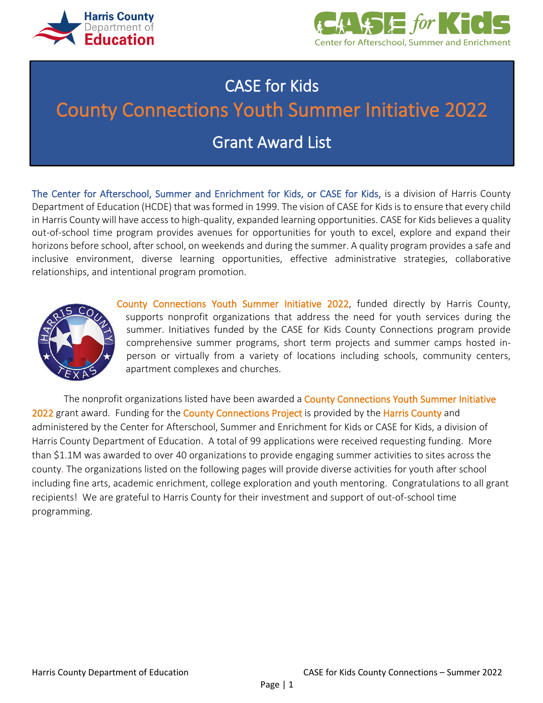



# CASE for Kids County Connections Youth Summer Initiative 2022 Grant Award List

The Center for Afterschool, Summer and Enrichment for Kids, or CASE for Kids, is a division of Harris County Department of Education (HCDE) that was formed in 1999. The vision of CASE for Kids is to ensure that every child in Harris County will have access to high-quality, expanded learning opportunities. CASE for Kids believes a quality out-of-school time program provides avenues for opportunities for youth to excel, explore and expand their horizons before school, after school, on weekends and during the summer. A quality program provides a safe and inclusive environment, diverse learning opportunities, effective administrative strategies, collaborative relationships, and intentional program promotion.



County Connections Youth Summer Initiative 2022, funded directly by Harris County, supports nonprofit organizations that address the need for youth services during the summer. Initiatives funded by the CASE for Kids County Connections program provide comprehensive summer programs, short term projects and summer camps hosted inperson or virtually from a variety of locations including schools, community centers, apartment complexes and churches.

The nonprofit organizations listed have been awarded a **County Connections Youth Summer Initiative** 2022 grant award. Funding for the County Connections Project is provided by the Harris County and administered by the Center for Afterschool, Summer and Enrichment for Kids or CASE for Kids, a division of Harris County Department of Education. A total of 99 applications were received requesting funding. More than \$1.1M was awarded to over 40 organizations to provide engaging summer activities to sites across the county. The organizations listed on the following pages will provide diverse activities for youth after school including fine arts, academic enrichment, college exploration and youth mentoring. Congratulations to all grant recipients! We are grateful to Harris County for their investment and support of out-of-school time programming.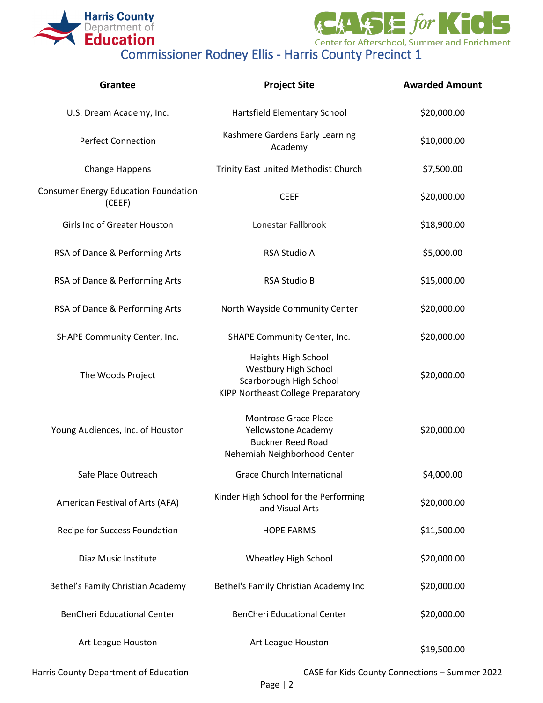



| Grantee                                               | <b>Project Site</b>                                                                                            | <b>Awarded Amount</b> |
|-------------------------------------------------------|----------------------------------------------------------------------------------------------------------------|-----------------------|
| U.S. Dream Academy, Inc.                              | Hartsfield Elementary School                                                                                   | \$20,000.00           |
| <b>Perfect Connection</b>                             | Kashmere Gardens Early Learning<br>Academy                                                                     | \$10,000.00           |
| Change Happens                                        | Trinity East united Methodist Church                                                                           | \$7,500.00            |
| <b>Consumer Energy Education Foundation</b><br>(CEEF) | <b>CEEF</b>                                                                                                    | \$20,000.00           |
| Girls Inc of Greater Houston                          | Lonestar Fallbrook                                                                                             | \$18,900.00           |
| RSA of Dance & Performing Arts                        | <b>RSA Studio A</b>                                                                                            | \$5,000.00            |
| RSA of Dance & Performing Arts                        | <b>RSA Studio B</b>                                                                                            | \$15,000.00           |
| RSA of Dance & Performing Arts                        | North Wayside Community Center                                                                                 | \$20,000.00           |
| SHAPE Community Center, Inc.                          | SHAPE Community Center, Inc.                                                                                   | \$20,000.00           |
| The Woods Project                                     | Heights High School<br>Westbury High School<br>Scarborough High School<br>KIPP Northeast College Preparatory   | \$20,000.00           |
| Young Audiences, Inc. of Houston                      | <b>Montrose Grace Place</b><br>Yellowstone Academy<br><b>Buckner Reed Road</b><br>Nehemiah Neighborhood Center | \$20,000.00           |
| Safe Place Outreach                                   | Grace Church International                                                                                     | \$4,000.00            |
| American Festival of Arts (AFA)                       | Kinder High School for the Performing<br>and Visual Arts                                                       | \$20,000.00           |
| Recipe for Success Foundation                         | <b>HOPE FARMS</b>                                                                                              | \$11,500.00           |
| Diaz Music Institute                                  | Wheatley High School                                                                                           | \$20,000.00           |
| Bethel's Family Christian Academy                     | Bethel's Family Christian Academy Inc                                                                          | \$20,000.00           |
| <b>BenCheri Educational Center</b>                    | <b>BenCheri Educational Center</b>                                                                             | \$20,000.00           |
| Art League Houston                                    | Art League Houston                                                                                             | \$19,500.00           |

Harris County Department of Education CASE for Kids County Connections – Summer 2022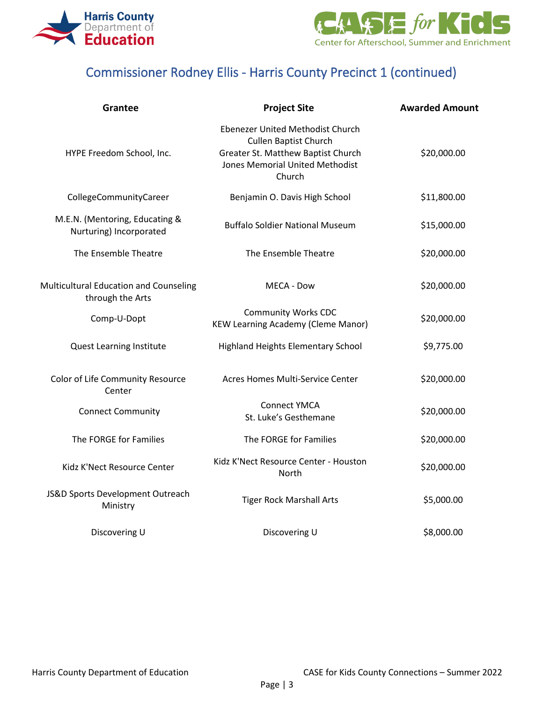



## Commissioner Rodney Ellis - Harris County Precinct 1 (continued)

| <b>Grantee</b>                                             | <b>Project Site</b>                                                                                                                                 | <b>Awarded Amount</b> |
|------------------------------------------------------------|-----------------------------------------------------------------------------------------------------------------------------------------------------|-----------------------|
| HYPE Freedom School, Inc.                                  | Ebenezer United Methodist Church<br><b>Cullen Baptist Church</b><br>Greater St. Matthew Baptist Church<br>Jones Memorial United Methodist<br>Church | \$20,000.00           |
| CollegeCommunityCareer                                     | Benjamin O. Davis High School                                                                                                                       | \$11,800.00           |
| M.E.N. (Mentoring, Educating &<br>Nurturing) Incorporated  | <b>Buffalo Soldier National Museum</b>                                                                                                              | \$15,000.00           |
| The Ensemble Theatre                                       | The Ensemble Theatre                                                                                                                                | \$20,000.00           |
| Multicultural Education and Counseling<br>through the Arts | MECA - Dow                                                                                                                                          | \$20,000.00           |
| Comp-U-Dopt                                                | <b>Community Works CDC</b><br><b>KEW Learning Academy (Cleme Manor)</b>                                                                             | \$20,000.00           |
| <b>Quest Learning Institute</b>                            | <b>Highland Heights Elementary School</b>                                                                                                           | \$9,775.00            |
| Color of Life Community Resource<br>Center                 | Acres Homes Multi-Service Center                                                                                                                    | \$20,000.00           |
| <b>Connect Community</b>                                   | <b>Connect YMCA</b><br>St. Luke's Gesthemane                                                                                                        | \$20,000.00           |
| The FORGE for Families                                     | The FORGE for Families                                                                                                                              | \$20,000.00           |
| Kidz K'Nect Resource Center                                | Kidz K'Nect Resource Center - Houston<br>North                                                                                                      | \$20,000.00           |
| JS&D Sports Development Outreach<br>Ministry               | <b>Tiger Rock Marshall Arts</b>                                                                                                                     | \$5,000.00            |
| Discovering U                                              | Discovering U                                                                                                                                       | \$8,000.00            |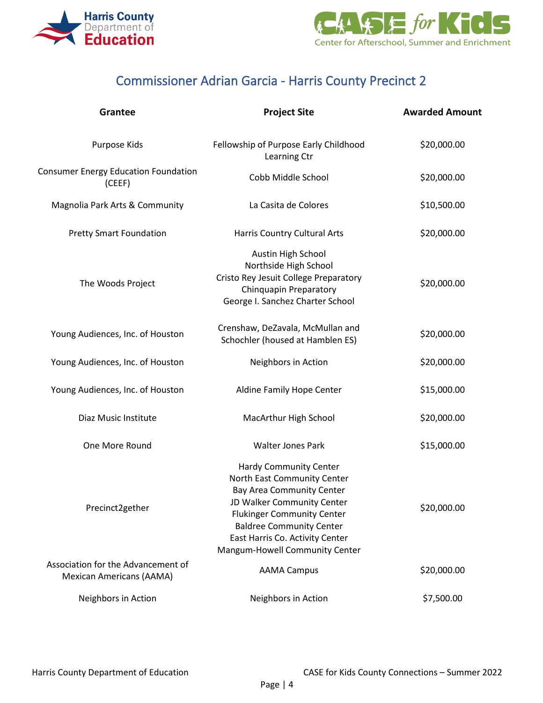



## Commissioner Adrian Garcia - Harris County Precinct 2

| Grantee                                                               | <b>Project Site</b>                                                                                                                                                                                                                                                         | <b>Awarded Amount</b> |
|-----------------------------------------------------------------------|-----------------------------------------------------------------------------------------------------------------------------------------------------------------------------------------------------------------------------------------------------------------------------|-----------------------|
| Purpose Kids                                                          | Fellowship of Purpose Early Childhood<br>Learning Ctr                                                                                                                                                                                                                       | \$20,000.00           |
| <b>Consumer Energy Education Foundation</b><br>(CEEF)                 | Cobb Middle School                                                                                                                                                                                                                                                          | \$20,000.00           |
| Magnolia Park Arts & Community                                        | La Casita de Colores                                                                                                                                                                                                                                                        | \$10,500.00           |
| <b>Pretty Smart Foundation</b>                                        | Harris Country Cultural Arts                                                                                                                                                                                                                                                | \$20,000.00           |
| The Woods Project                                                     | Austin High School<br>Northside High School<br>Cristo Rey Jesuit College Preparatory<br><b>Chinquapin Preparatory</b><br>George I. Sanchez Charter School                                                                                                                   | \$20,000.00           |
| Young Audiences, Inc. of Houston                                      | Crenshaw, DeZavala, McMullan and<br>Schochler (housed at Hamblen ES)                                                                                                                                                                                                        | \$20,000.00           |
| Young Audiences, Inc. of Houston                                      | Neighbors in Action                                                                                                                                                                                                                                                         | \$20,000.00           |
| Young Audiences, Inc. of Houston                                      | Aldine Family Hope Center                                                                                                                                                                                                                                                   | \$15,000.00           |
| Diaz Music Institute                                                  | MacArthur High School                                                                                                                                                                                                                                                       | \$20,000.00           |
| One More Round                                                        | <b>Walter Jones Park</b>                                                                                                                                                                                                                                                    | \$15,000.00           |
| Precinct2gether                                                       | <b>Hardy Community Center</b><br>North East Community Center<br><b>Bay Area Community Center</b><br>JD Walker Community Center<br><b>Flukinger Community Center</b><br><b>Baldree Community Center</b><br>East Harris Co. Activity Center<br>Mangum-Howell Community Center | \$20,000.00           |
| Association for the Advancement of<br><b>Mexican Americans (AAMA)</b> | <b>AAMA Campus</b>                                                                                                                                                                                                                                                          | \$20,000.00           |
| Neighbors in Action                                                   | Neighbors in Action                                                                                                                                                                                                                                                         | \$7,500.00            |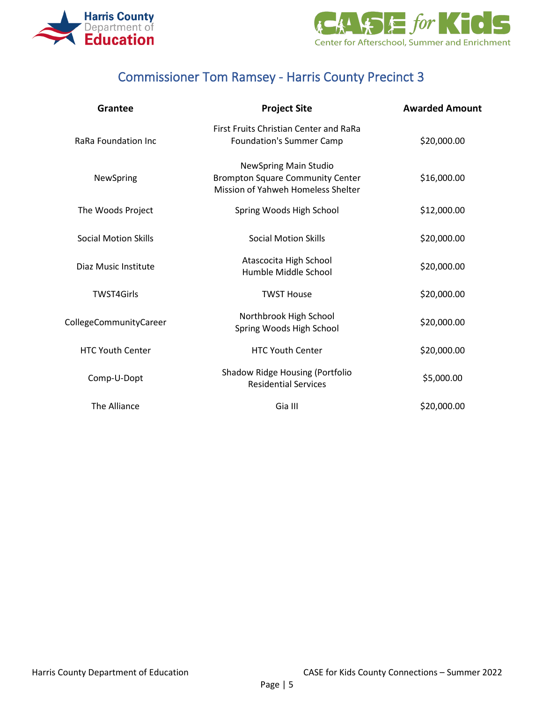



### Commissioner Tom Ramsey - Harris County Precinct 3

| Grantee                     | <b>Project Site</b>                                                                                           | <b>Awarded Amount</b> |
|-----------------------------|---------------------------------------------------------------------------------------------------------------|-----------------------|
| RaRa Foundation Inc         | First Fruits Christian Center and RaRa<br><b>Foundation's Summer Camp</b>                                     | \$20,000.00           |
| NewSpring                   | <b>NewSpring Main Studio</b><br><b>Brompton Square Community Center</b><br>Mission of Yahweh Homeless Shelter | \$16,000.00           |
| The Woods Project           | Spring Woods High School                                                                                      | \$12,000.00           |
| <b>Social Motion Skills</b> | <b>Social Motion Skills</b>                                                                                   | \$20,000.00           |
| Diaz Music Institute        | Atascocita High School<br>Humble Middle School                                                                | \$20,000.00           |
| <b>TWST4Girls</b>           | <b>TWST House</b>                                                                                             | \$20,000.00           |
| CollegeCommunityCareer      | Northbrook High School<br>Spring Woods High School                                                            | \$20,000.00           |
| <b>HTC Youth Center</b>     | <b>HTC Youth Center</b>                                                                                       | \$20,000.00           |
| Comp-U-Dopt                 | <b>Shadow Ridge Housing (Portfolio</b><br><b>Residential Services</b>                                         | \$5,000.00            |
| The Alliance                | Gia III                                                                                                       | \$20,000.00           |